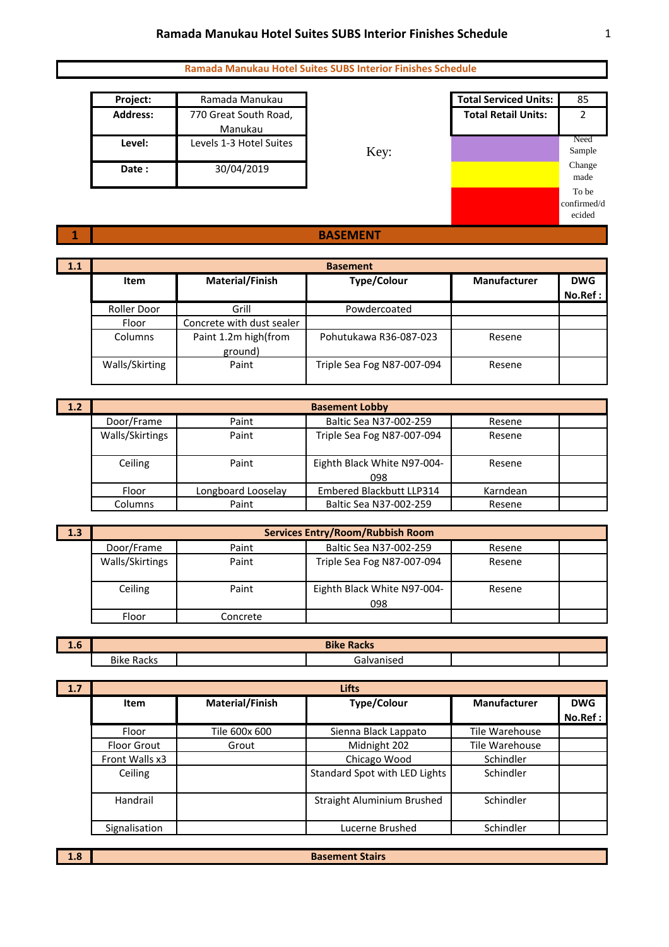| Project: | Ramada Manukau          |
|----------|-------------------------|
| Address: | 770 Great South Road,   |
|          | Manukau                 |
| Level:   | Levels 1-3 Hotel Suites |
| Date:    | 30/04/2019              |



## **BASEMENT**

| 1.1 | <b>Basement</b> |                           |                            |              |            |  |
|-----|-----------------|---------------------------|----------------------------|--------------|------------|--|
|     | Item            | <b>Material/Finish</b>    | <b>Type/Colour</b>         | Manufacturer | <b>DWG</b> |  |
|     |                 |                           |                            |              | No.Ref:    |  |
|     | Roller Door     | Grill                     | Powdercoated               |              |            |  |
|     | Floor           | Concrete with dust sealer |                            |              |            |  |
|     | Columns         | Paint 1.2m high(from      | Pohutukawa R36-087-023     | Resene       |            |  |
|     |                 | ground)                   |                            |              |            |  |
|     | Walls/Skirting  | Paint                     | Triple Sea Fog N87-007-094 | Resene       |            |  |
|     |                 |                           |                            |              |            |  |

| 1.2 | <b>Basement Lobby</b> |                    |                                    |          |  |
|-----|-----------------------|--------------------|------------------------------------|----------|--|
|     | Door/Frame            | Paint              | Baltic Sea N37-002-259             | Resene   |  |
|     | Walls/Skirtings       | Paint              | Triple Sea Fog N87-007-094         | Resene   |  |
|     | Ceiling               | Paint              | Eighth Black White N97-004-<br>098 | Resene   |  |
|     | Floor                 | Longboard Looselay | Embered Blackbutt LLP314           | Karndean |  |
|     | Columns               | Paint              | Baltic Sea N37-002-259             | Resene   |  |

| -1.3 | <b>Services Entry/Room/Rubbish Room</b> |          |                                    |        |  |
|------|-----------------------------------------|----------|------------------------------------|--------|--|
|      | Door/Frame                              | Paint    | Baltic Sea N37-002-259             | Resene |  |
|      | Walls/Skirtings                         | Paint    | Triple Sea Fog N87-007-094         | Resene |  |
|      | Ceiling                                 | Paint    | Eighth Black White N97-004-<br>098 | Resene |  |
|      | Floor                                   | Concrete |                                    |        |  |

| - -<br>T.O | <b>Bike Racks</b>    |  |                  |  |  |
|------------|----------------------|--|------------------|--|--|
|            | <b>Bike</b><br>Racks |  | ialvanised<br>Jd |  |  |

| 1.7 | <b>Lifts</b>       |                        |                               |                     |            |  |  |
|-----|--------------------|------------------------|-------------------------------|---------------------|------------|--|--|
|     | Item               | <b>Material/Finish</b> | <b>Type/Colour</b>            | <b>Manufacturer</b> | <b>DWG</b> |  |  |
|     |                    |                        |                               |                     | No.Ref:    |  |  |
|     | Floor              | Tile 600x 600          | Sienna Black Lappato          | Tile Warehouse      |            |  |  |
|     | <b>Floor Grout</b> | Grout                  | Midnight 202                  | Tile Warehouse      |            |  |  |
|     | Front Walls x3     |                        | Chicago Wood                  | Schindler           |            |  |  |
|     | Ceiling            |                        | Standard Spot with LED Lights | Schindler           |            |  |  |
|     | Handrail           |                        | Straight Aluminium Brushed    | Schindler           |            |  |  |
|     | Signalisation      |                        | Lucerne Brushed               | Schindler           |            |  |  |

**1.8**

**1**

**Basement Stairs**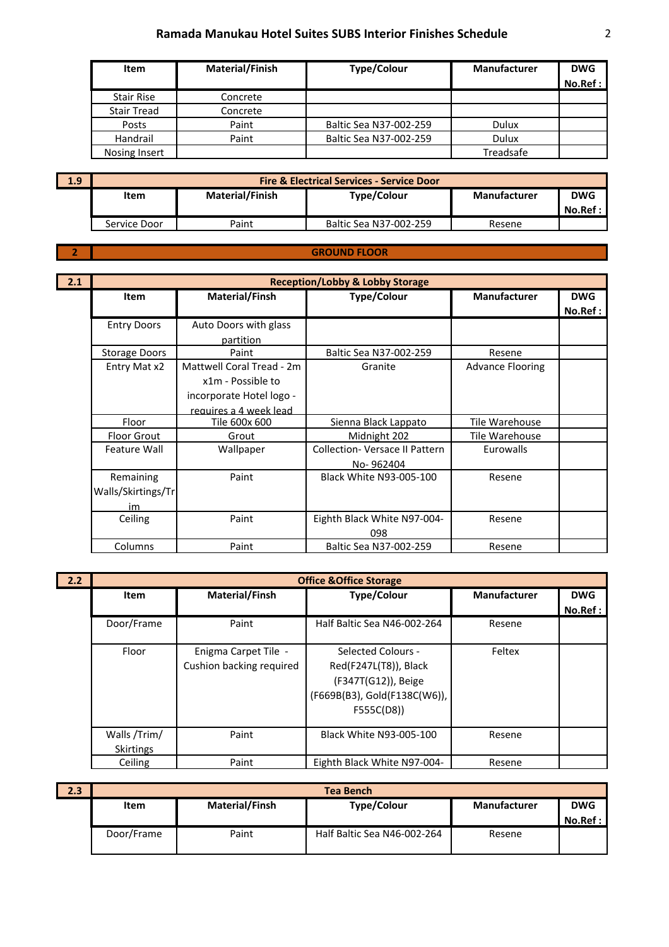| <b>Item</b>        | <b>Material/Finish</b> | <b>Type/Colour</b>     | <b>Manufacturer</b> | <b>DWG</b> |
|--------------------|------------------------|------------------------|---------------------|------------|
|                    |                        |                        |                     | No.Ref:    |
| <b>Stair Rise</b>  | Concrete               |                        |                     |            |
| <b>Stair Tread</b> | Concrete               |                        |                     |            |
| Posts              | Paint                  | Baltic Sea N37-002-259 | Dulux               |            |
| Handrail           | Paint                  | Baltic Sea N37-002-259 | Dulux               |            |
| Nosing Insert      |                        |                        | Treadsafe           |            |

| 1.9 | <b>Fire &amp; Electrical Services - Service Door</b> |                        |                        |              |            |
|-----|------------------------------------------------------|------------------------|------------------------|--------------|------------|
|     | <b>Item</b>                                          | <b>Material/Finish</b> | <b>Type/Colour</b>     | Manufacturer | <b>DWG</b> |
|     |                                                      |                        |                        |              | No.Ref :   |
|     | Service Door                                         | Paint                  | Baltic Sea N37-002-259 | Resene       |            |

#### **2**

#### **GROUND FLOOR**

| 2.1 |                      | <b>Reception/Lobby &amp; Lobby Storage</b> |                                       |                         |            |  |
|-----|----------------------|--------------------------------------------|---------------------------------------|-------------------------|------------|--|
|     | <b>Item</b>          | <b>Material/Finsh</b>                      | <b>Type/Colour</b>                    | <b>Manufacturer</b>     | <b>DWG</b> |  |
|     |                      |                                            |                                       |                         | No.Ref :   |  |
|     | <b>Entry Doors</b>   | Auto Doors with glass                      |                                       |                         |            |  |
|     |                      | partition                                  |                                       |                         |            |  |
|     | <b>Storage Doors</b> | Paint                                      | Baltic Sea N37-002-259                | Resene                  |            |  |
|     | Entry Mat x2         | Mattwell Coral Tread - 2m                  | Granite                               | <b>Advance Flooring</b> |            |  |
|     |                      | x1m - Possible to                          |                                       |                         |            |  |
|     |                      | incorporate Hotel logo -                   |                                       |                         |            |  |
|     |                      | requires a 4 week lead                     |                                       |                         |            |  |
|     | Floor                | Tile 600x 600                              | Sienna Black Lappato                  | Tile Warehouse          |            |  |
|     | <b>Floor Grout</b>   | Grout                                      | Midnight 202                          | Tile Warehouse          |            |  |
|     | Feature Wall         | Wallpaper                                  | <b>Collection- Versace II Pattern</b> | <b>Eurowalls</b>        |            |  |
|     |                      |                                            | No-962404                             |                         |            |  |
|     | Remaining            | Paint                                      | Black White N93-005-100               | Resene                  |            |  |
|     | Walls/Skirtings/Tr   |                                            |                                       |                         |            |  |
|     | im                   |                                            |                                       |                         |            |  |
|     | Ceiling              | Paint                                      | Eighth Black White N97-004-           | Resene                  |            |  |
|     |                      |                                            | 098                                   |                         |            |  |
|     | Columns              | Paint                                      | Baltic Sea N37-002-259                | Resene                  |            |  |

| 2.2 |                                  | <b>Office &amp; Office Storage</b>               |                                                                                                                  |                     |                        |  |  |
|-----|----------------------------------|--------------------------------------------------|------------------------------------------------------------------------------------------------------------------|---------------------|------------------------|--|--|
|     | Item                             | <b>Material/Finsh</b>                            | <b>Type/Colour</b>                                                                                               | <b>Manufacturer</b> | <b>DWG</b><br>No.Ref : |  |  |
|     | Door/Frame                       | Paint                                            | Half Baltic Sea N46-002-264                                                                                      | Resene              |                        |  |  |
|     | Floor                            | Enigma Carpet Tile -<br>Cushion backing required | Selected Colours -<br>Red(F247L(T8)), Black<br>(F347T(G12)), Beige<br>(F669B(B3), Gold(F138C(W6)),<br>F555C(D8)) | Feltex              |                        |  |  |
|     | Walls /Trim/<br><b>Skirtings</b> | Paint                                            | Black White N93-005-100                                                                                          | Resene              |                        |  |  |
|     | Ceiling                          | Paint                                            | Eighth Black White N97-004-                                                                                      | Resene              |                        |  |  |

| 2.3 | Tea Bench  |                       |                             |                     |                       |  |
|-----|------------|-----------------------|-----------------------------|---------------------|-----------------------|--|
|     | Item       | <b>Material/Finsh</b> | <b>Type/Colour</b>          | <b>Manufacturer</b> | <b>DWG</b><br>No.Ref: |  |
|     | Door/Frame | Paint                 | Half Baltic Sea N46-002-264 | Resene              |                       |  |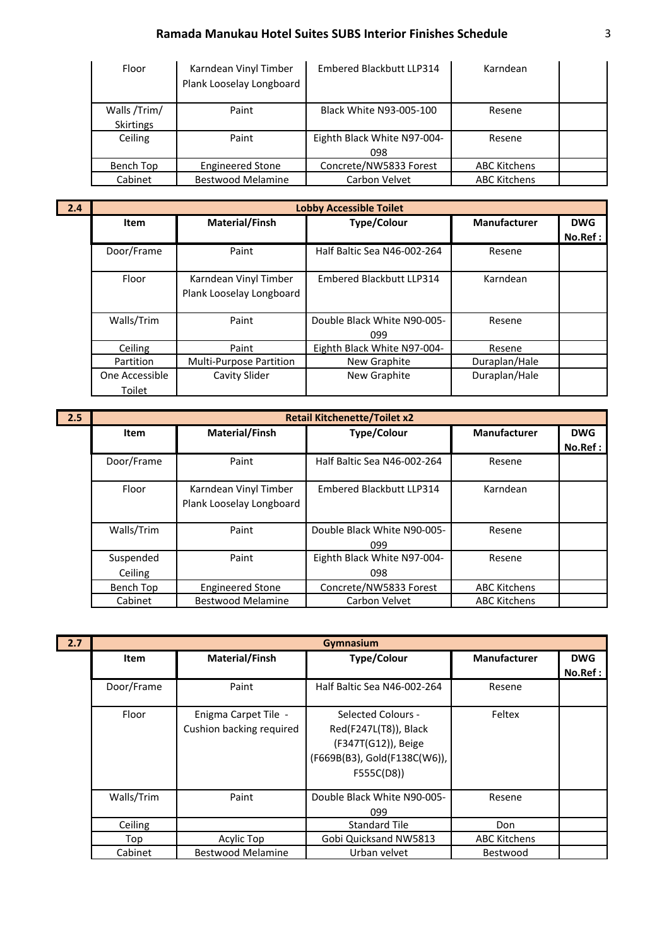| Floor                            | Karndean Vinyl Timber<br>Plank Looselay Longboard | Embered Blackbutt LLP314           | Karndean            |  |
|----------------------------------|---------------------------------------------------|------------------------------------|---------------------|--|
| Walls /Trim/<br><b>Skirtings</b> | Paint                                             | Black White N93-005-100            | Resene              |  |
| Ceiling                          | Paint                                             | Eighth Black White N97-004-<br>098 | Resene              |  |
| Bench Top                        | <b>Engineered Stone</b>                           | Concrete/NW5833 Forest             | <b>ABC Kitchens</b> |  |
| Cabinet                          | <b>Bestwood Melamine</b>                          | Carbon Velvet                      | <b>ABC Kitchens</b> |  |

**2.4**

|            | <b>Lobby Accessible Toilet</b> |                                                   |                                    |                     |            |  |  |
|------------|--------------------------------|---------------------------------------------------|------------------------------------|---------------------|------------|--|--|
|            | Item                           | <b>Material/Finsh</b>                             | <b>Type/Colour</b>                 | <b>Manufacturer</b> | <b>DWG</b> |  |  |
|            |                                |                                                   |                                    |                     | No.Ref:    |  |  |
|            | Door/Frame                     | Paint                                             | Half Baltic Sea N46-002-264        | Resene              |            |  |  |
|            | Floor                          | Karndean Vinyl Timber<br>Plank Looselay Longboard | Embered Blackbutt LLP314           | Karndean            |            |  |  |
| Walls/Trim |                                | Paint                                             | Double Black White N90-005-<br>099 | Resene              |            |  |  |
|            | Ceiling                        | Paint                                             | Eighth Black White N97-004-        | Resene              |            |  |  |
|            | Partition                      | <b>Multi-Purpose Partition</b>                    | New Graphite                       | Duraplan/Hale       |            |  |  |
|            | One Accessible<br>Toilet       | Cavity Slider                                     | New Graphite                       | Duraplan/Hale       |            |  |  |

| 2.5 | <b>Retail Kitchenette/Toilet x2</b> |                                                   |                                    |                     |            |  |
|-----|-------------------------------------|---------------------------------------------------|------------------------------------|---------------------|------------|--|
|     | Item                                | Material/Finsh                                    | <b>Type/Colour</b>                 | <b>Manufacturer</b> | <b>DWG</b> |  |
|     |                                     |                                                   |                                    |                     | No.Ref :   |  |
|     | Door/Frame                          | Paint                                             | Half Baltic Sea N46-002-264        | Resene              |            |  |
|     | Floor                               | Karndean Vinyl Timber<br>Plank Looselay Longboard | Embered Blackbutt LLP314           | Karndean            |            |  |
|     | Walls/Trim                          | Paint                                             | Double Black White N90-005-<br>099 | Resene              |            |  |
|     | Suspended<br>Ceiling                | Paint                                             | Eighth Black White N97-004-<br>098 | Resene              |            |  |
|     | Bench Top                           | <b>Engineered Stone</b>                           | Concrete/NW5833 Forest             | <b>ABC Kitchens</b> |            |  |
|     | Cabinet                             | <b>Bestwood Melamine</b>                          | Carbon Velvet                      | <b>ABC Kitchens</b> |            |  |

| 2.7 | Gymnasium  |                                                  |                                                                                                                  |                     |             |
|-----|------------|--------------------------------------------------|------------------------------------------------------------------------------------------------------------------|---------------------|-------------|
|     | Item       | Material/Finsh                                   | <b>Type/Colour</b>                                                                                               | <b>Manufacturer</b> | <b>DWG</b>  |
|     |            |                                                  |                                                                                                                  |                     | $No.$ Ref : |
|     | Door/Frame | Paint                                            | Half Baltic Sea N46-002-264                                                                                      | Resene              |             |
|     | Floor      | Enigma Carpet Tile -<br>Cushion backing required | Selected Colours -<br>Red(F247L(T8)), Black<br>(F347T(G12)), Beige<br>(F669B(B3), Gold(F138C(W6)),<br>F555C(D8)) | Feltex              |             |
|     | Walls/Trim | Paint                                            | Double Black White N90-005-<br>099                                                                               | Resene              |             |
|     | Ceiling    |                                                  | <b>Standard Tile</b>                                                                                             | Don                 |             |
|     | Top        | Acylic Top                                       | Gobi Quicksand NW5813                                                                                            | <b>ABC Kitchens</b> |             |
|     | Cabinet    | <b>Bestwood Melamine</b>                         | Urban velvet                                                                                                     | Bestwood            |             |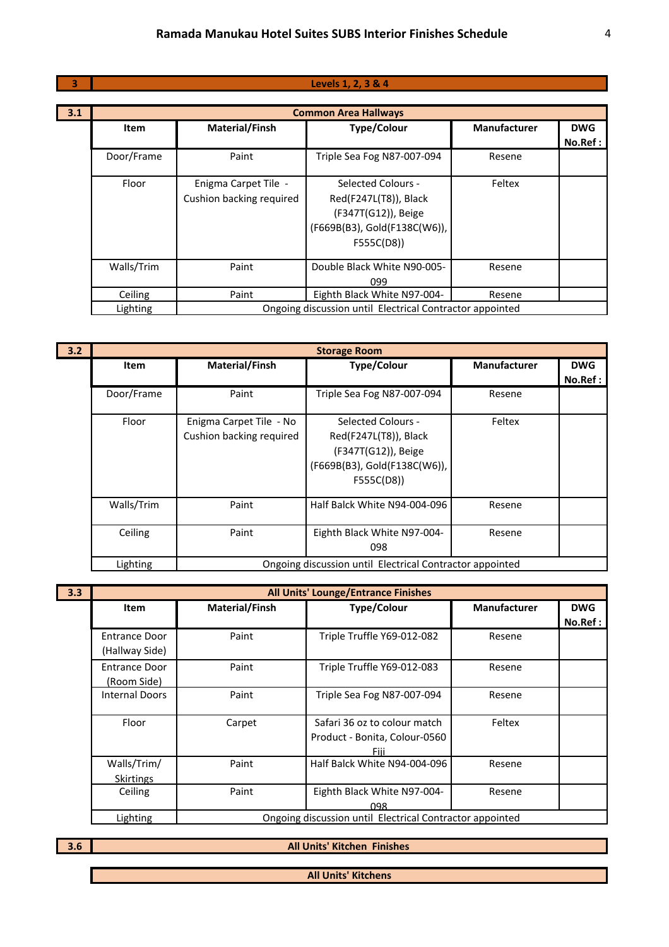#### **Levels 1, 2, 3 & 4**

| 3.1 | <b>Common Area Hallways</b> |                                                  |                                                                                                                  |                     |            |  |
|-----|-----------------------------|--------------------------------------------------|------------------------------------------------------------------------------------------------------------------|---------------------|------------|--|
|     | <b>Item</b>                 | <b>Material/Finsh</b>                            | <b>Type/Colour</b>                                                                                               | <b>Manufacturer</b> | <b>DWG</b> |  |
|     |                             |                                                  |                                                                                                                  |                     | No. Ref:   |  |
|     | Door/Frame                  | Paint                                            | Triple Sea Fog N87-007-094                                                                                       | Resene              |            |  |
|     | Floor                       | Enigma Carpet Tile -<br>Cushion backing required | Selected Colours -<br>Red(F247L(T8)), Black<br>(F347T(G12)), Beige<br>(F669B(B3), Gold(F138C(W6)),<br>F555C(D8)) | Feltex              |            |  |
|     | Walls/Trim                  | Paint                                            | Double Black White N90-005-<br>099                                                                               | Resene              |            |  |
|     | Ceiling                     | Paint                                            | Eighth Black White N97-004-                                                                                      | Resene              |            |  |
|     | Lighting                    |                                                  | Ongoing discussion until Electrical Contractor appointed                                                         |                     |            |  |

| 3.2 |             |                                                     | <b>Storage Room</b>                                                                                              |                     |             |
|-----|-------------|-----------------------------------------------------|------------------------------------------------------------------------------------------------------------------|---------------------|-------------|
|     | <b>Item</b> | <b>Material/Finsh</b>                               | <b>Type/Colour</b>                                                                                               | <b>Manufacturer</b> | <b>DWG</b>  |
|     |             |                                                     |                                                                                                                  |                     | $No.$ Ref : |
|     | Door/Frame  | Paint                                               | Triple Sea Fog N87-007-094                                                                                       | Resene              |             |
|     | Floor       | Enigma Carpet Tile - No<br>Cushion backing required | Selected Colours -<br>Red(F247L(T8)), Black<br>(F347T(G12)), Beige<br>(F669B(B3), Gold(F138C(W6)),<br>F555C(D8)) | Feltex              |             |
|     | Walls/Trim  | Paint                                               | Half Balck White N94-004-096                                                                                     | Resene              |             |
|     | Ceiling     | Paint                                               | Eighth Black White N97-004-<br>098                                                                               | Resene              |             |
|     | Lighting    |                                                     | Ongoing discussion until Electrical Contractor appointed                                                         |                     |             |

| 3.3 |                       |                       | All Units' Lounge/Entrance Finishes                      |                     |            |
|-----|-----------------------|-----------------------|----------------------------------------------------------|---------------------|------------|
|     | Item                  | <b>Material/Finsh</b> | <b>Type/Colour</b>                                       | <b>Manufacturer</b> | <b>DWG</b> |
|     |                       |                       |                                                          |                     | No.Ref :   |
|     | Entrance Door         | Paint                 | Triple Truffle Y69-012-082                               | Resene              |            |
|     | (Hallway Side)        |                       |                                                          |                     |            |
|     | Entrance Door         | Paint                 | Triple Truffle Y69-012-083                               | Resene              |            |
|     | (Room Side)           |                       |                                                          |                     |            |
|     | <b>Internal Doors</b> | Paint                 | Triple Sea Fog N87-007-094                               | Resene              |            |
|     |                       |                       |                                                          |                     |            |
|     | Floor                 | Carpet                | Safari 36 oz to colour match                             | Feltex              |            |
|     |                       |                       | Product - Bonita, Colour-0560                            |                     |            |
|     |                       |                       | Fiii                                                     |                     |            |
|     | Walls/Trim/           | Paint                 | Half Balck White N94-004-096                             | Resene              |            |
|     | <b>Skirtings</b>      |                       |                                                          |                     |            |
|     | Ceiling               | Paint                 | Eighth Black White N97-004-                              | Resene              |            |
|     |                       |                       | 098                                                      |                     |            |
|     | Lighting              |                       | Ongoing discussion until Electrical Contractor appointed |                     |            |

**3.6**

**All Units' Kitchen Finishes** 

**All Units' Kitchens**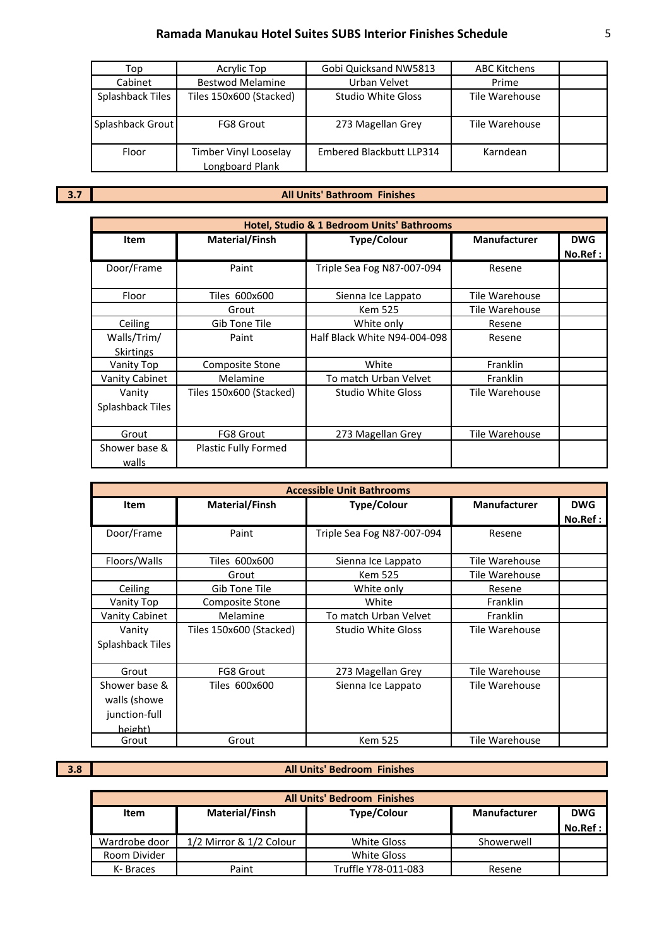| Acrylic Top<br>Top                          |                                          | Gobi Quicksand NW5813           | <b>ABC Kitchens</b> |  |
|---------------------------------------------|------------------------------------------|---------------------------------|---------------------|--|
| Cabinet                                     | <b>Bestwod Melamine</b>                  | Urban Velvet                    | Prime               |  |
| Splashback Tiles<br>Tiles 150x600 (Stacked) |                                          | <b>Studio White Gloss</b>       | Tile Warehouse      |  |
| Splashback Grout                            | <b>FG8 Grout</b>                         | 273 Magellan Grey               | Tile Warehouse      |  |
| Floor                                       | Timber Vinyl Looselay<br>Longboard Plank | <b>Embered Blackbutt LLP314</b> | Karndean            |  |

**3.7**

#### **All Units' Bathroom Finishes**

|                            | Hotel, Studio & 1 Bedroom Units' Bathrooms |                              |                     |                        |  |  |
|----------------------------|--------------------------------------------|------------------------------|---------------------|------------------------|--|--|
| Item                       | <b>Material/Finsh</b>                      | <b>Type/Colour</b>           | <b>Manufacturer</b> | <b>DWG</b><br>No.Ref : |  |  |
| Door/Frame                 | Paint                                      | Triple Sea Fog N87-007-094   | Resene              |                        |  |  |
| Floor                      | Tiles 600x600                              | Sienna Ice Lappato           | Tile Warehouse      |                        |  |  |
|                            | Grout                                      | <b>Kem 525</b>               | Tile Warehouse      |                        |  |  |
| Ceiling                    | Gib Tone Tile                              | White only                   | Resene              |                        |  |  |
| Walls/Trim/<br>Skirtings   | Paint                                      | Half Black White N94-004-098 | Resene              |                        |  |  |
| Vanity Top                 | Composite Stone                            | White                        | Franklin            |                        |  |  |
| Vanity Cabinet             | Melamine                                   | To match Urban Velvet        | Franklin            |                        |  |  |
| Vanity<br>Splashback Tiles | Tiles 150x600 (Stacked)                    | <b>Studio White Gloss</b>    | Tile Warehouse      |                        |  |  |
| Grout                      | <b>FG8 Grout</b>                           | 273 Magellan Grey            | Tile Warehouse      |                        |  |  |
| Shower base &<br>walls     | <b>Plastic Fully Formed</b>                |                              |                     |                        |  |  |

| <b>Accessible Unit Bathrooms</b> |                         |                            |                     |            |  |  |
|----------------------------------|-------------------------|----------------------------|---------------------|------------|--|--|
| <b>Item</b>                      | Material/Finsh          | <b>Type/Colour</b>         | <b>Manufacturer</b> | <b>DWG</b> |  |  |
|                                  |                         |                            |                     | No.Ref :   |  |  |
| Door/Frame                       | Paint                   | Triple Sea Fog N87-007-094 | Resene              |            |  |  |
| Floors/Walls                     | Tiles 600x600           | Sienna Ice Lappato         | Tile Warehouse      |            |  |  |
|                                  | Grout                   | <b>Kem 525</b>             | Tile Warehouse      |            |  |  |
| Ceiling                          | Gib Tone Tile           | White only                 | Resene              |            |  |  |
| Vanity Top                       | Composite Stone         | White                      | Franklin            |            |  |  |
| <b>Vanity Cabinet</b>            | Melamine                | To match Urban Velvet      | Franklin            |            |  |  |
| Vanity                           | Tiles 150x600 (Stacked) | <b>Studio White Gloss</b>  | Tile Warehouse      |            |  |  |
| Splashback Tiles                 |                         |                            |                     |            |  |  |
|                                  |                         |                            |                     |            |  |  |
| Grout                            | <b>FG8 Grout</b>        | 273 Magellan Grey          | Tile Warehouse      |            |  |  |
| Shower base &                    | Tiles 600x600           | Sienna Ice Lappato         | Tile Warehouse      |            |  |  |
| walls (showe                     |                         |                            |                     |            |  |  |
| junction-full                    |                         |                            |                     |            |  |  |
| height)                          |                         |                            |                     |            |  |  |
| Grout                            | Grout                   | <b>Kem 525</b>             | Tile Warehouse      |            |  |  |

**3.8**

#### **All Units' Bedroom Finishes**

| <b>All Units' Bedroom Finishes</b> |                         |                     |                     |            |  |  |
|------------------------------------|-------------------------|---------------------|---------------------|------------|--|--|
| Item                               | <b>Material/Finsh</b>   | <b>Type/Colour</b>  | <b>Manufacturer</b> | <b>DWG</b> |  |  |
|                                    |                         |                     |                     | No. Ref:   |  |  |
| Wardrobe door                      | 1/2 Mirror & 1/2 Colour | White Gloss         | Showerwell          |            |  |  |
| Room Divider                       |                         | White Gloss         |                     |            |  |  |
| K-Braces                           | Paint                   | Truffle Y78-011-083 | Resene              |            |  |  |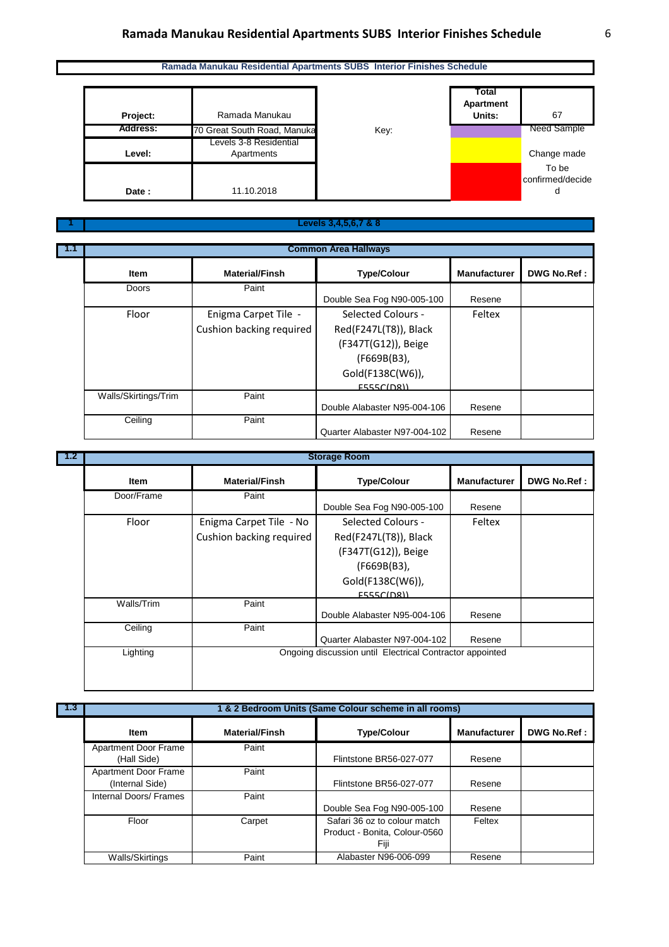# **Ramada Manukau Residential Apartments SUBS Interior Finishes Schedule** 6

#### **Ramada Manukau Residential Apartments SUBS Interior Finishes Schedule**



#### **Levels 3,4,5,6,7 & 8**

| $-1.1$ | <b>Common Area Hallways</b> |                          |                               |                     |                    |
|--------|-----------------------------|--------------------------|-------------------------------|---------------------|--------------------|
|        | Item                        | <b>Material/Finsh</b>    | <b>Type/Colour</b>            | <b>Manufacturer</b> | <b>DWG No.Ref:</b> |
|        | <b>Doors</b>                | Paint                    |                               |                     |                    |
|        |                             |                          | Double Sea Fog N90-005-100    | Resene              |                    |
|        | Floor                       | Enigma Carpet Tile -     | Selected Colours -            | Feltex              |                    |
|        |                             | Cushion backing required | Red(F247L(T8)), Black         |                     |                    |
|        |                             |                          | (F347T(G12)), Beige           |                     |                    |
|        |                             |                          | (F669B(B3),                   |                     |                    |
|        |                             |                          | Gold(F138C(W6)),              |                     |                    |
|        |                             |                          | F555C(D8)                     |                     |                    |
|        | Walls/Skirtings/Trim        | Paint                    |                               |                     |                    |
|        |                             |                          | Double Alabaster N95-004-106  | Resene              |                    |
|        | Ceiling                     | Paint                    |                               |                     |                    |
|        |                             |                          | Quarter Alabaster N97-004-102 | Resene              |                    |

|             |                          | <b>Storage Room</b>                                      |                     |                    |
|-------------|--------------------------|----------------------------------------------------------|---------------------|--------------------|
| <b>Item</b> | <b>Material/Finsh</b>    | <b>Type/Colour</b>                                       | <b>Manufacturer</b> | <b>DWG No.Ref:</b> |
| Door/Frame  | Paint                    | Double Sea Fog N90-005-100                               | Resene              |                    |
| Floor       | Enigma Carpet Tile - No  | Selected Colours -                                       | Feltex              |                    |
|             | Cushion backing required | Red(F247L(T8)), Black                                    |                     |                    |
|             |                          | (F347T(G12)), Beige                                      |                     |                    |
|             |                          | (F669B(B3),                                              |                     |                    |
|             |                          | Gold(F138C(W6)),                                         |                     |                    |
|             |                          | <b>E555C(DR))</b>                                        |                     |                    |
| Walls/Trim  | Paint                    | Double Alabaster N95-004-106                             | Resene              |                    |
| Ceiling     | Paint                    | Quarter Alabaster N97-004-102                            | Resene              |                    |
| Lighting    |                          | Ongoing discussion until Electrical Contractor appointed |                     |                    |
|             |                          |                                                          |                     |                    |

**1.3**

**1**

**1 & 2 Bedroom Units (Same Colour scheme in all rooms)**

| <b>Item</b>                             | <b>Material/Finsh</b> | <b>Type/Colour</b>                                                    | <b>Manufacturer</b> | DWG No.Ref: |
|-----------------------------------------|-----------------------|-----------------------------------------------------------------------|---------------------|-------------|
| Apartment Door Frame<br>(Hall Side)     | Paint                 | Flintstone BR56-027-077                                               | Resene              |             |
| Apartment Door Frame<br>(Internal Side) | Paint                 | Flintstone BR56-027-077                                               | Resene              |             |
| Internal Doors/ Frames                  | Paint                 | Double Sea Fog N90-005-100                                            | Resene              |             |
| Floor                                   | Carpet                | Safari 36 oz to colour match<br>Product - Bonita, Colour-0560<br>Fiji | Feltex              |             |
| Walls/Skirtings                         | Paint                 | Alabaster N96-006-099                                                 | Resene              |             |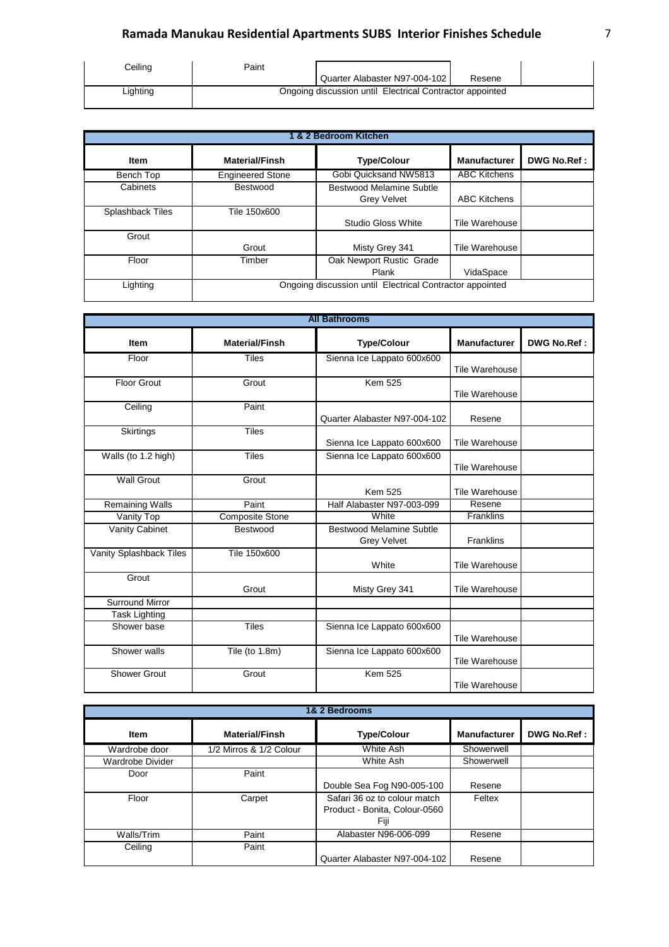# **Ramada Manukau Residential Apartments SUBS Interior Finishes Schedule** 7

| Ceiling  | Paint |                                                          |        |  |
|----------|-------|----------------------------------------------------------|--------|--|
|          |       | Quarter Alabaster N97-004-102                            | Resene |  |
| Lighting |       | Ongoing discussion until Electrical Contractor appointed |        |  |

| 1 & 2 Bedroom Kitchen   |                                                          |                          |                     |                    |  |  |
|-------------------------|----------------------------------------------------------|--------------------------|---------------------|--------------------|--|--|
| Item                    | <b>Material/Finsh</b>                                    | <b>Type/Colour</b>       | <b>Manufacturer</b> | <b>DWG No.Ref:</b> |  |  |
| Bench Top               | <b>Engineered Stone</b>                                  | Gobi Quicksand NW5813    | <b>ABC Kitchens</b> |                    |  |  |
| Cabinets                | Bestwood                                                 | Bestwood Melamine Subtle |                     |                    |  |  |
|                         |                                                          | <b>Grey Velvet</b>       | <b>ABC Kitchens</b> |                    |  |  |
| <b>Splashback Tiles</b> | Tile 150x600                                             |                          |                     |                    |  |  |
|                         |                                                          | Studio Gloss White       | Tile Warehouse      |                    |  |  |
| Grout                   |                                                          |                          |                     |                    |  |  |
|                         | Grout                                                    | Misty Grey 341           | Tile Warehouse      |                    |  |  |
| Floor                   | Timber                                                   | Oak Newport Rustic Grade |                     |                    |  |  |
|                         |                                                          | Plank                    | VidaSpace           |                    |  |  |
| Lighting                | Ongoing discussion until Electrical Contractor appointed |                          |                     |                    |  |  |

| <b>All Bathrooms</b>    |                        |                                                       |                       |                    |  |
|-------------------------|------------------------|-------------------------------------------------------|-----------------------|--------------------|--|
| <b>Item</b>             | <b>Material/Finsh</b>  | <b>Type/Colour</b>                                    | <b>Manufacturer</b>   | <b>DWG No.Ref:</b> |  |
| Floor                   | <b>Tiles</b>           | Sienna Ice Lappato 600x600                            | Tile Warehouse        |                    |  |
| <b>Floor Grout</b>      | Grout                  | <b>Kem 525</b>                                        | Tile Warehouse        |                    |  |
| Ceiling                 | Paint                  | Quarter Alabaster N97-004-102                         | Resene                |                    |  |
| Skirtings               | <b>Tiles</b>           | Sienna Ice Lappato 600x600                            | <b>Tile Warehouse</b> |                    |  |
| Walls (to 1.2 high)     | <b>Tiles</b>           | Sienna Ice Lappato 600x600                            | Tile Warehouse        |                    |  |
| <b>Wall Grout</b>       | Grout                  | <b>Kem 525</b>                                        | Tile Warehouse        |                    |  |
| <b>Remaining Walls</b>  | Paint                  | Half Alabaster N97-003-099                            | Resene                |                    |  |
| Vanity Top              | <b>Composite Stone</b> | White                                                 | Franklins             |                    |  |
| Vanity Cabinet          | Bestwood               | <b>Bestwood Melamine Subtle</b><br><b>Grey Velvet</b> | <b>Franklins</b>      |                    |  |
| Vanity Splashback Tiles | Tile 150x600           | White                                                 | Tile Warehouse        |                    |  |
| Grout                   | Grout                  | Misty Grey 341                                        | <b>Tile Warehouse</b> |                    |  |
| <b>Surround Mirror</b>  |                        |                                                       |                       |                    |  |
| <b>Task Lighting</b>    |                        |                                                       |                       |                    |  |
| Shower base             | <b>Tiles</b>           | Sienna Ice Lappato 600x600                            | <b>Tile Warehouse</b> |                    |  |
| Shower walls            | Tile (to 1.8m)         | Sienna Ice Lappato 600x600                            | <b>Tile Warehouse</b> |                    |  |
| <b>Shower Grout</b>     | Grout                  | <b>Kem 525</b>                                        | Tile Warehouse        |                    |  |

| 1& 2 Bedrooms    |                         |                                                                       |                     |             |  |  |
|------------------|-------------------------|-----------------------------------------------------------------------|---------------------|-------------|--|--|
| Item             | <b>Material/Finsh</b>   | <b>Type/Colour</b>                                                    | <b>Manufacturer</b> | DWG No.Ref: |  |  |
| Wardrobe door    | 1/2 Mirros & 1/2 Colour | White Ash                                                             | Showerwell          |             |  |  |
| Wardrobe Divider |                         | White Ash                                                             | Showerwell          |             |  |  |
| Door             | Paint                   | Double Sea Fog N90-005-100                                            | Resene              |             |  |  |
| Floor            | Carpet                  | Safari 36 oz to colour match<br>Product - Bonita, Colour-0560<br>Fiji | Feltex              |             |  |  |
| Walls/Trim       | Paint                   | Alabaster N96-006-099                                                 | Resene              |             |  |  |
| Ceiling          | Paint                   | Quarter Alabaster N97-004-102                                         | Resene              |             |  |  |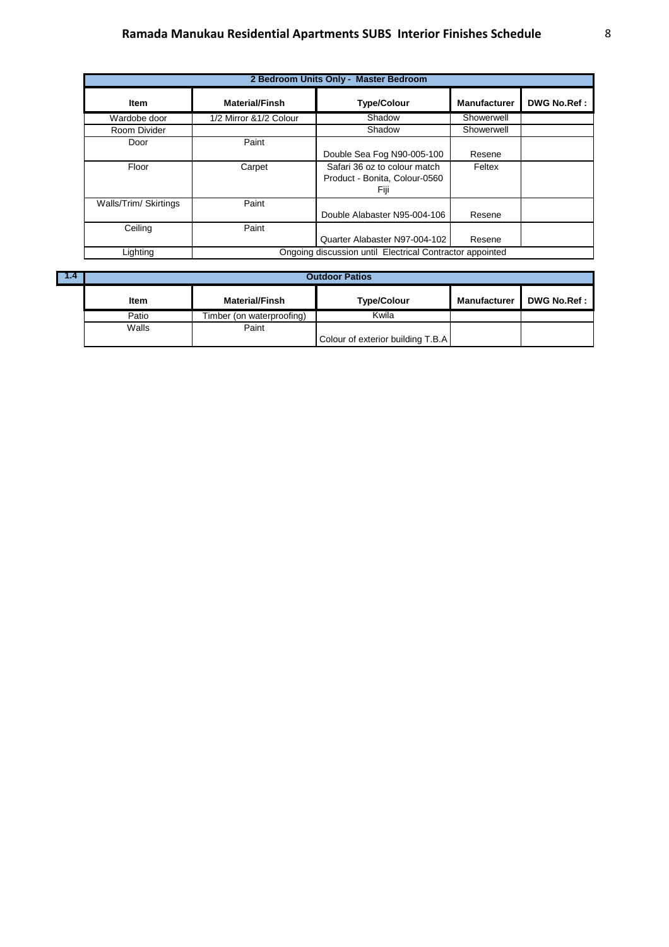# **Ramada Manukau Residential Apartments SUBS Interior Finishes Schedule** 8

| 2 Bedroom Units Only - Master Bedroom |                                                          |                                                                       |                     |                    |  |  |
|---------------------------------------|----------------------------------------------------------|-----------------------------------------------------------------------|---------------------|--------------------|--|--|
| Item                                  | <b>Material/Finsh</b>                                    | <b>Type/Colour</b>                                                    | <b>Manufacturer</b> | <b>DWG No.Ref:</b> |  |  |
| Wardobe door                          | 1/2 Mirror & 1/2 Colour                                  | Shadow                                                                | Showerwell          |                    |  |  |
| Room Divider                          |                                                          | Shadow                                                                | Showerwell          |                    |  |  |
| Door                                  | Paint                                                    | Double Sea Fog N90-005-100                                            | Resene              |                    |  |  |
| Floor                                 | Carpet                                                   | Safari 36 oz to colour match<br>Product - Bonita, Colour-0560<br>Fiji | Feltex              |                    |  |  |
| Walls/Trim/ Skirtings                 | Paint                                                    | Double Alabaster N95-004-106                                          | Resene              |                    |  |  |
| Ceiling                               | Paint                                                    | Quarter Alabaster N97-004-102                                         | Resene              |                    |  |  |
| Lighting                              | Ongoing discussion until Electrical Contractor appointed |                                                                       |                     |                    |  |  |

| <b>The Company of the United States</b> | <b>Outdoor Patios</b> |                           |                                   |                     |             |  |  |
|-----------------------------------------|-----------------------|---------------------------|-----------------------------------|---------------------|-------------|--|--|
|                                         | Item                  | <b>Material/Finsh</b>     | <b>Type/Colour</b>                | <b>Manufacturer</b> | DWG No.Ref: |  |  |
|                                         | Patio                 | Timber (on waterproofing) | Kwila                             |                     |             |  |  |
|                                         | Walls                 | Paint                     |                                   |                     |             |  |  |
|                                         |                       |                           | Colour of exterior building T.B.A |                     |             |  |  |